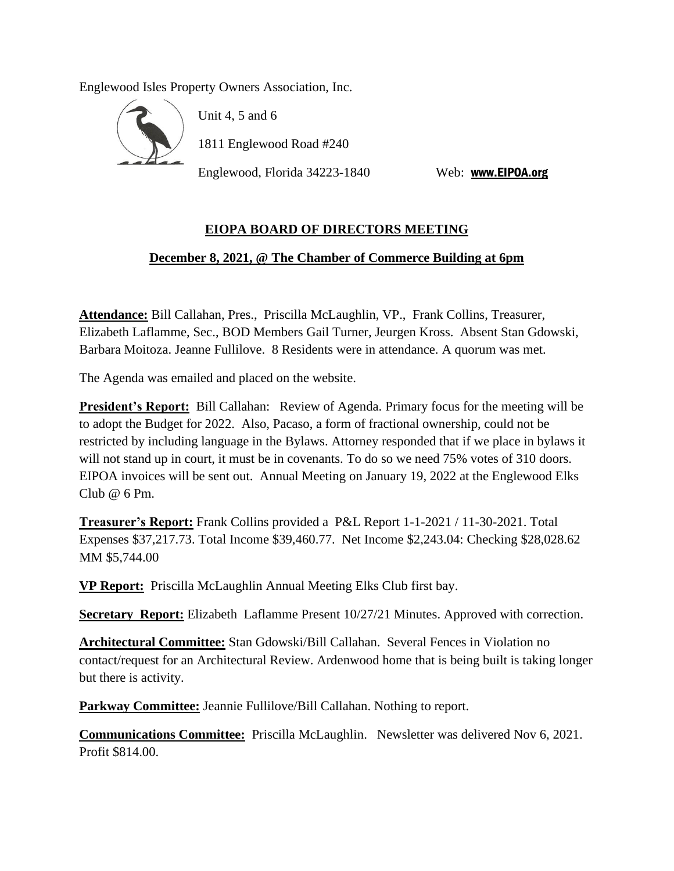Englewood Isles Property Owners Association, Inc.



Unit 4, 5 and 6 1811 Englewood Road #240

Englewood, Florida 34223-1840 Web: [www.EIPOA.org](http://www.eipoa.org/)

## **EIOPA BOARD OF DIRECTORS MEETING**

## **December 8, 2021, @ The Chamber of Commerce Building at 6pm**

**Attendance:** Bill Callahan, Pres., Priscilla McLaughlin, VP., Frank Collins, Treasurer, Elizabeth Laflamme, Sec., BOD Members Gail Turner, Jeurgen Kross. Absent Stan Gdowski, Barbara Moitoza. Jeanne Fullilove. 8 Residents were in attendance. A quorum was met.

The Agenda was emailed and placed on the website.

**President's Report:** Bill Callahan: Review of Agenda. Primary focus for the meeting will be to adopt the Budget for 2022. Also, Pacaso, a form of fractional ownership, could not be restricted by including language in the Bylaws. Attorney responded that if we place in bylaws it will not stand up in court, it must be in covenants. To do so we need 75% votes of 310 doors. EIPOA invoices will be sent out. Annual Meeting on January 19, 2022 at the Englewood Elks Club  $@6$  Pm.

**Treasurer's Report:** Frank Collins provided a P&L Report 1-1-2021 / 11-30-2021. Total Expenses \$37,217.73. Total Income \$39,460.77. Net Income \$2,243.04: Checking \$28,028.62 MM \$5,744.00

**VP Report:** Priscilla McLaughlin Annual Meeting Elks Club first bay.

**Secretary Report:** Elizabeth Laflamme Present 10/27/21 Minutes. Approved with correction.

**Architectural Committee:** Stan Gdowski/Bill Callahan. Several Fences in Violation no contact/request for an Architectural Review. Ardenwood home that is being built is taking longer but there is activity.

**Parkway Committee:** Jeannie Fullilove/Bill Callahan. Nothing to report.

**Communications Committee:** Priscilla McLaughlin. Newsletter was delivered Nov 6, 2021. Profit \$814.00.